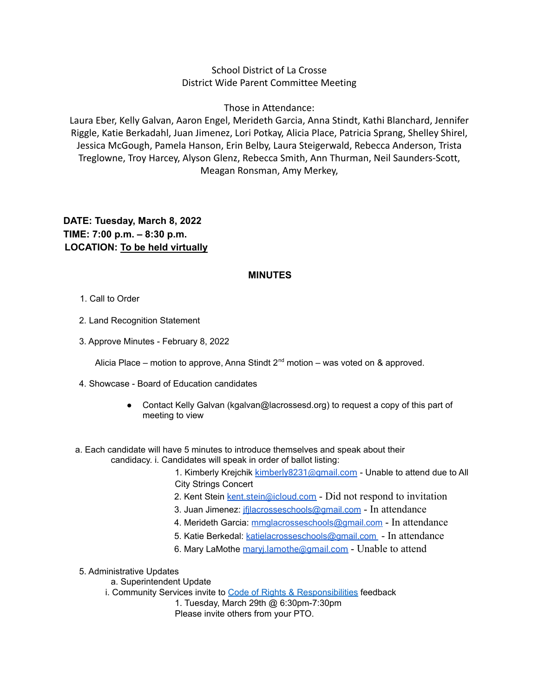## School District of La Crosse District Wide Parent Committee Meeting

Those in Attendance:

Laura Eber, Kelly Galvan, Aaron Engel, Merideth Garcia, Anna Stindt, Kathi Blanchard, Jennifer Riggle, Katie Berkadahl, Juan Jimenez, Lori Potkay, Alicia Place, Patricia Sprang, Shelley Shirel, Jessica McGough, Pamela Hanson, Erin Belby, Laura Steigerwald, Rebecca Anderson, Trista Treglowne, Troy Harcey, Alyson Glenz, Rebecca Smith, Ann Thurman, Neil Saunders-Scott, Meagan Ronsman, Amy Merkey,

## **DATE: Tuesday, March 8, 2022 TIME: 7:00 p.m. – 8:30 p.m. LOCATION: To be held virtually**

## **MINUTES**

- 1. Call to Order
- 2. Land Recognition Statement
- 3. Approve Minutes February 8, 2022

Alicia Place – motion to approve, Anna Stindt  $2^{nd}$  motion – was voted on & approved.

- 4. Showcase Board of Education candidates
	- Contact Kelly Galvan (kgalvan@lacrossesd.org) to request a copy of this part of meeting to view
- a. Each candidate will have 5 minutes to introduce themselves and speak about their candidacy. i. Candidates will speak in order of ballot listing:
	- 1. Kimberly Krejchik [kimberly8231@gmail.com](mailto:kimberly8231@gmail.com) Unable to attend due to All City Strings Concert
	- 2. Kent Stein kent stein@icloud.com Did not respond to invitation
	- 3. Juan Jimenez: [jfjlacrosseschools@gmail.com](mailto:jfjlacrosseschools@gmail.com) In attendance
	- 4. Merideth Garcia: [mmglacrosseschools@gmail.com](mailto:mmglacrosseschools@gmail.com) In attendance
	- 5. Katie Berkedal: [katielacrosseschools@gmail.com](mailto:katielacrosseschools@gmail.com) In attendance
	- 6. Mary LaMothe [maryj.lamothe@gmail.com](mailto:maryj.lamothe@gmail.com) Unable to attend
- 5. Administrative Updates
	- a. Superintendent Update
	- i. Community Services invite to Code of Rights & [Responsibilities](https://www.lacrosseschools.org/wp-content/uploads/2021/05/2021-22-Code-of-Rights-and-Responsibilities.pdf) feedback
		- 1. Tuesday, March 29th @ 6:30pm-7:30pm Please invite others from your PTO.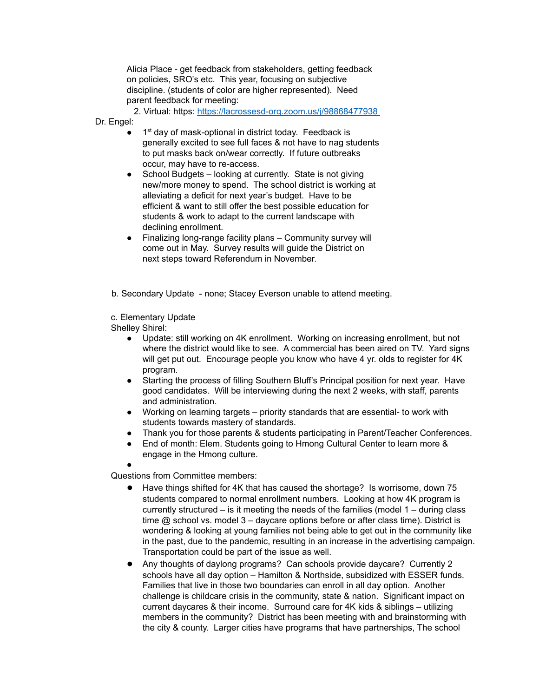Alicia Place - get feedback from stakeholders, getting feedback on policies, SRO's etc. This year, focusing on subjective discipline. (students of color are higher represented). Need parent feedback for meeting:

2. Virtual: https: <https://lacrossesd-org.zoom.us/j/98868477938>

Dr. Engel:

- 1<sup>st</sup> day of mask-optional in district today. Feedback is generally excited to see full faces & not have to nag students to put masks back on/wear correctly. If future outbreaks occur, may have to re-access.
- School Budgets looking at currently. State is not giving new/more money to spend. The school district is working at alleviating a deficit for next year's budget. Have to be efficient & want to still offer the best possible education for students & work to adapt to the current landscape with declining enrollment.
- Finalizing long-range facility plans Community survey will come out in May. Survey results will guide the District on next steps toward Referendum in November.

b. Secondary Update - none; Stacey Everson unable to attend meeting.

c. Elementary Update

Shelley Shirel:

●

- Update: still working on 4K enrollment. Working on increasing enrollment, but not where the district would like to see. A commercial has been aired on TV. Yard signs will get put out. Encourage people you know who have 4 yr. olds to register for 4K program.
- Starting the process of filling Southern Bluff's Principal position for next year. Have good candidates. Will be interviewing during the next 2 weeks, with staff, parents and administration.
- Working on learning targets priority standards that are essential- to work with students towards mastery of standards.
- Thank you for those parents & students participating in Parent/Teacher Conferences.
- End of month: Elem. Students going to Hmong Cultural Center to learn more & engage in the Hmong culture.

Questions from Committee members:

- Have things shifted for 4K that has caused the shortage? Is worrisome, down 75 students compared to normal enrollment numbers. Looking at how 4K program is currently structured – is it meeting the needs of the families (model 1 – during class time  $@$  school vs. model  $3$  – daycare options before or after class time). District is wondering & looking at young families not being able to get out in the community like in the past, due to the pandemic, resulting in an increase in the advertising campaign. Transportation could be part of the issue as well.
- Any thoughts of daylong programs? Can schools provide daycare? Currently 2 schools have all day option – Hamilton & Northside, subsidized with ESSER funds. Families that live in those two boundaries can enroll in all day option. Another challenge is childcare crisis in the community, state & nation. Significant impact on current daycares & their income. Surround care for 4K kids & siblings – utilizing members in the community? District has been meeting with and brainstorming with the city & county. Larger cities have programs that have partnerships, The school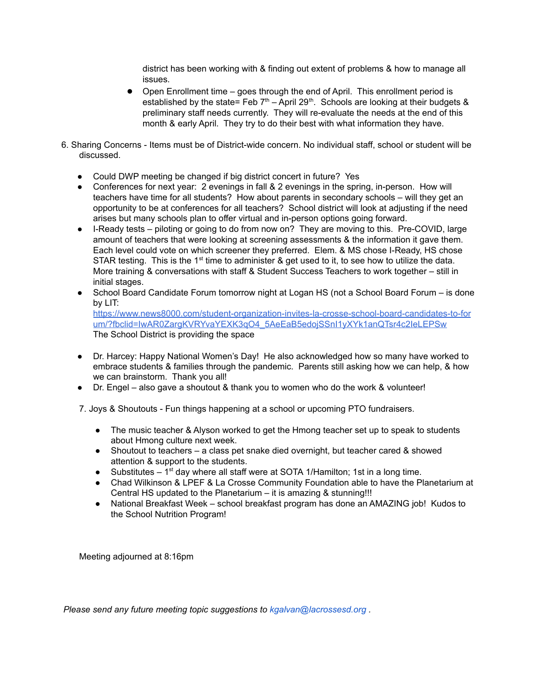district has been working with & finding out extent of problems & how to manage all issues.

- Open Enrollment time goes through the end of April. This enrollment period is established by the state= Feb  $7<sup>th</sup>$  – April 29<sup>th</sup>. Schools are looking at their budgets & preliminary staff needs currently. They will re-evaluate the needs at the end of this month & early April. They try to do their best with what information they have.
- 6. Sharing Concerns Items must be of District-wide concern. No individual staff, school or student will be discussed.
	- Could DWP meeting be changed if big district concert in future? Yes
	- Conferences for next year: 2 evenings in fall & 2 evenings in the spring, in-person. How will teachers have time for all students? How about parents in secondary schools – will they get an opportunity to be at conferences for all teachers? School district will look at adjusting if the need arises but many schools plan to offer virtual and in-person options going forward.
	- I-Ready tests piloting or going to do from now on? They are moving to this. Pre-COVID, large amount of teachers that were looking at screening assessments & the information it gave them. Each level could vote on which screener they preferred. Elem. & MS chose I-Ready, HS chose STAR testing. This is the 1<sup>st</sup> time to administer & get used to it, to see how to utilize the data. More training & conversations with staff & Student Success Teachers to work together – still in initial stages.
	- School Board Candidate Forum tomorrow night at Logan HS (not a School Board Forum is done by LIT: [https://www.news8000.com/student-organization-invites-la-crosse-school-board-candidates-to-for](https://www.news8000.com/student-organization-invites-la-crosse-school-board-candidates-to-forum/?fbclid=IwAR0ZargKVRYvaYEXK3qO4_5AeEaB5edojSSnI1yXYk1anQTsr4c2IeLEPSw) [um/?fbclid=IwAR0ZargKVRYvaYEXK3qO4\\_5AeEaB5edojSSnI1yXYk1anQTsr4c2IeLEPSw](https://www.news8000.com/student-organization-invites-la-crosse-school-board-candidates-to-forum/?fbclid=IwAR0ZargKVRYvaYEXK3qO4_5AeEaB5edojSSnI1yXYk1anQTsr4c2IeLEPSw) The School District is providing the space
	- Dr. Harcey: Happy National Women's Day! He also acknowledged how so many have worked to embrace students & families through the pandemic. Parents still asking how we can help, & how we can brainstorm. Thank you all!
	- Dr. Engel also gave a shoutout & thank you to women who do the work & volunteer!

7. Joys & Shoutouts - Fun things happening at a school or upcoming PTO fundraisers.

- The music teacher & Alyson worked to get the Hmong teacher set up to speak to students about Hmong culture next week.
- $\bullet$  Shoutout to teachers a class pet snake died overnight, but teacher cared & showed attention & support to the students.
- Substitutes  $-1<sup>st</sup>$  day where all staff were at SOTA 1/Hamilton; 1st in a long time.
- Chad Wilkinson & LPEF & La Crosse Community Foundation able to have the Planetarium at Central HS updated to the Planetarium – it is amazing & stunning!!!
- National Breakfast Week school breakfast program has done an AMAZING job! Kudos to the School Nutrition Program!

Meeting adjourned at 8:16pm

*Please send any future meeting topic suggestions to kgalvan@lacrossesd.org .*